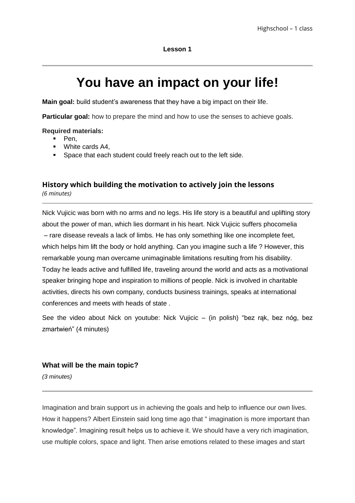# **You have an impact on your life!**

**Main goal:** build student's awareness that they have a big impact on their life.

**Particular goal:** how to prepare the mind and how to use the senses to achieve goals.

#### **Required materials:**

- $\blacksquare$  Pen.
- **White cards A4,**
- **Space that each student could freely reach out to the left side.**

## **History which building the motivation to actively join the lessons**  *(6 minutes)*

Nick Vujicic was born with no arms and no legs. His life story is a beautiful and uplifting story about the power of man, which lies dormant in his heart. Nick Vujicic suffers phocomelia – rare disease reveals a lack of limbs. He has only something like one incomplete feet, which helps him lift the body or hold anything. Can you imagine such a life ? However, this remarkable young man overcame unimaginable limitations resulting from his disability. Today he leads active and fulfilled life, traveling around the world and acts as a motivational speaker bringing hope and inspiration to millions of people. Nick is involved in charitable activities, directs his own company, conducts business trainings, speaks at international conferences and meets with heads of state .

See the video about Nick on voutube: Nick Vuiicic – (in polish) "bez rak, bez nóg, bez zmartwień" (4 minutes)

#### **What will be the main topic?**

*(3 minutes)*

Imagination and brain support us in achieving the goals and help to influence our own lives. How it happens? Albert Einstein said long time ago that " imagination is more important than knowledge". Imagining result helps us to achieve it. We should have a very rich imagination, use multiple colors, space and light. Then arise emotions related to these images and start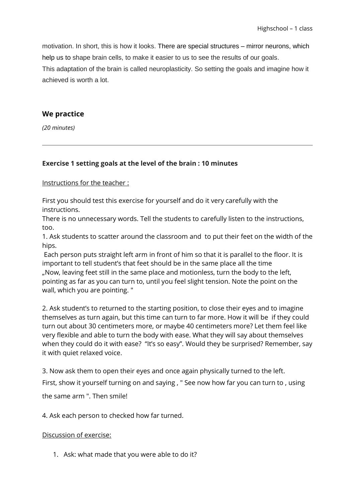motivation. In short, this is how it looks. There are special structures – mirror neurons, which help us to shape brain cells, to make it easier to us to see the results of our goals. This adaptation of the brain is called neuroplasticity. So setting the goals and imagine how it achieved is worth a lot.

### **We practice**

*(20 minutes)*

## **Exercise 1 setting goals at the level of the brain : 10 minutes**

Instructions for the teacher :

First you should test this exercise for yourself and do it very carefully with the instructions.

There is no unnecessary words. Tell the students to carefully listen to the instructions, too.

1. Ask students to scatter around the classroom and to put their feet on the width of the hips.

Each person puts straight left arm in front of him so that it is parallel to the floor. It is important to tell student's that feet should be in the same place all the time "Now, leaving feet still in the same place and motionless, turn the body to the left, pointing as far as you can turn to, until you feel slight tension. Note the point on the wall, which you are pointing. "

2. Ask student's to returned to the starting position, to close their eyes and to imagine themselves as turn again, but this time can turn to far more. How it will be if they could turn out about 30 centimeters more, or maybe 40 centimeters more? Let them feel like very flexible and able to turn the body with ease. What they will say about themselves when they could do it with ease? "It's so easy". Would they be surprised? Remember, say it with quiet relaxed voice.

3. Now ask them to open their eyes and once again physically turned to the left.

First, show it yourself turning on and saying , " See now how far you can turn to , using

the same arm ". Then smile!

4. Ask each person to checked how far turned.

#### Discussion of exercise:

1. Ask: what made that you were able to do it?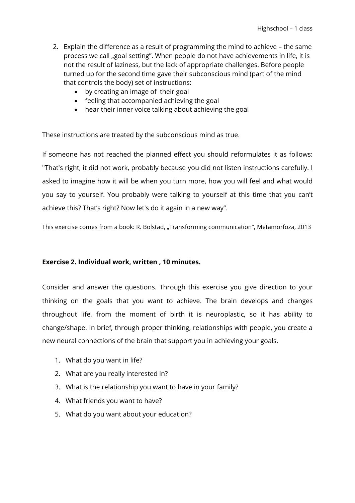- 2. Explain the difference as a result of programming the mind to achieve the same process we call "goal setting". When people do not have achievements in life, it is not the result of laziness, but the lack of appropriate challenges. Before people turned up for the second time gave their subconscious mind (part of the mind that controls the body) set of instructions:
	- by creating an image of their goal
	- feeling that accompanied achieving the goal
	- hear their inner voice talking about achieving the goal

These instructions are treated by the subconscious mind as true.

If someone has not reached the planned effect you should reformulates it as follows: "That's right, it did not work, probably because you did not listen instructions carefully. I asked to imagine how it will be when you turn more, how you will feel and what would you say to yourself. You probably were talking to yourself at this time that you can't achieve this? That's right? Now let's do it again in a new way".

This exercise comes from a book: R. Bolstad, "Transforming communication", Metamorfoza, 2013

#### **Exercise 2. Individual work, written , 10 minutes.**

Consider and answer the questions. Through this exercise you give direction to your thinking on the goals that you want to achieve. The brain develops and changes throughout life, from the moment of birth it is neuroplastic, so it has ability to change/shape. In brief, through proper thinking, relationships with people, you create a new neural connections of the brain that support you in achieving your goals.

- 1. What do you want in life?
- 2. What are you really interested in?
- 3. What is the relationship you want to have in your family?
- 4. What friends you want to have?
- 5. What do you want about your education?